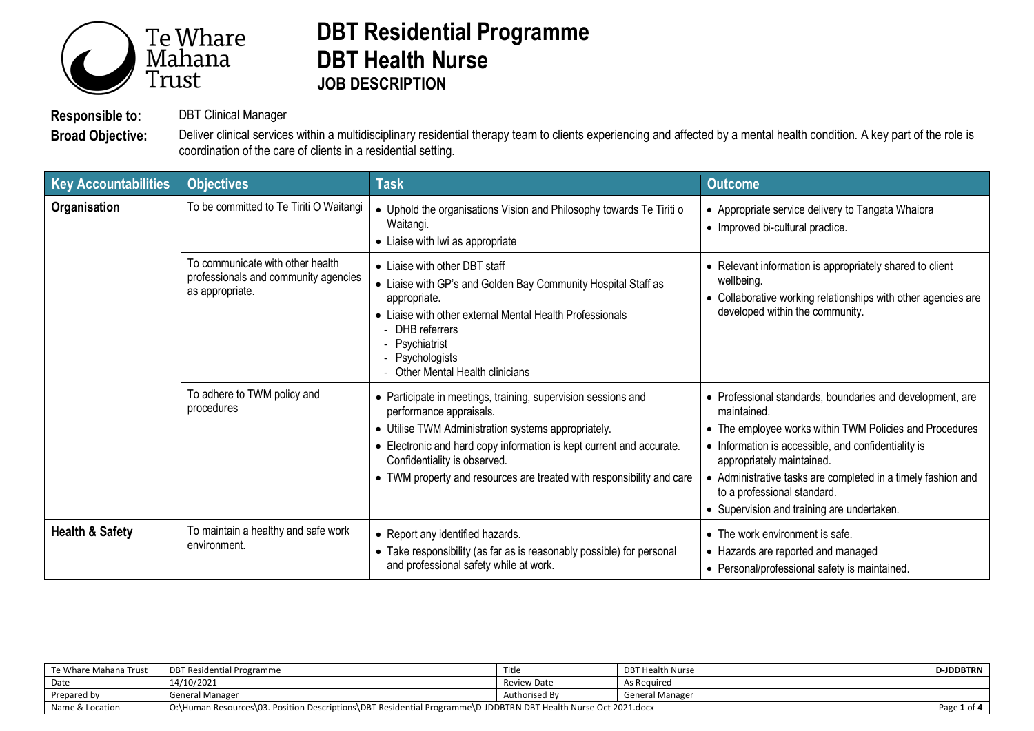

## **DBT Residential Programme DBT Health Nurse JOB DESCRIPTION**

**Responsible to:** DBT Clinical Manager

Broad Objective: Deliver clinical services within a multidisciplinary residential therapy team to clients experiencing and affected by a mental health condition. A key part of the role is coordination of the care of clients in a residential setting.

| <b>Key Accountabilities</b> | <b>Objectives</b>                                                                           | <b>Task</b>                                                                                                                                                                                                                                                                                                                      | <b>Outcome</b>                                                                                                                                                                                                                                                                                                                                                       |
|-----------------------------|---------------------------------------------------------------------------------------------|----------------------------------------------------------------------------------------------------------------------------------------------------------------------------------------------------------------------------------------------------------------------------------------------------------------------------------|----------------------------------------------------------------------------------------------------------------------------------------------------------------------------------------------------------------------------------------------------------------------------------------------------------------------------------------------------------------------|
| Organisation                | To be committed to Te Tiriti O Waitangi                                                     | • Uphold the organisations Vision and Philosophy towards Te Tiriti o<br>Waitangi.<br>• Liaise with Iwi as appropriate                                                                                                                                                                                                            | • Appropriate service delivery to Tangata Whaiora<br>• Improved bi-cultural practice.                                                                                                                                                                                                                                                                                |
|                             | To communicate with other health<br>professionals and community agencies<br>as appropriate. | • Liaise with other DBT staff<br>• Liaise with GP's and Golden Bay Community Hospital Staff as<br>appropriate.<br>• Liaise with other external Mental Health Professionals<br>- DHB referrers<br>- Psychiatrist<br>- Psychologists<br>Other Mental Health clinicians                                                             | • Relevant information is appropriately shared to client<br>wellbeing.<br>• Collaborative working relationships with other agencies are<br>developed within the community.                                                                                                                                                                                           |
|                             | To adhere to TWM policy and<br>procedures                                                   | • Participate in meetings, training, supervision sessions and<br>performance appraisals.<br>• Utilise TWM Administration systems appropriately.<br>• Electronic and hard copy information is kept current and accurate.<br>Confidentiality is observed.<br>• TWM property and resources are treated with responsibility and care | • Professional standards, boundaries and development, are<br>maintained.<br>• The employee works within TWM Policies and Procedures<br>• Information is accessible, and confidentiality is<br>appropriately maintained.<br>• Administrative tasks are completed in a timely fashion and<br>to a professional standard.<br>• Supervision and training are undertaken. |
| <b>Health &amp; Safety</b>  | To maintain a healthy and safe work<br>environment.                                         | • Report any identified hazards.<br>• Take responsibility (as far as is reasonably possible) for personal<br>and professional safety while at work.                                                                                                                                                                              | • The work environment is safe.<br>• Hazards are reported and managed<br>• Personal/professional safety is maintained.                                                                                                                                                                                                                                               |

| Te Whare Mahana Trust | DBT Residential Programme                                                                                       | Title         | DBT Health Nurse       | <b>D-JDDBTRN</b> |
|-----------------------|-----------------------------------------------------------------------------------------------------------------|---------------|------------------------|------------------|
| Date                  | 14/10/2021                                                                                                      | Review Date   | As Reauired            |                  |
| Prepared by           | General Manager                                                                                                 | Authorised By | <b>General Manager</b> |                  |
| Name & Location       | O:\Human Resources\03. Position Descriptions\DBT Residential Programme\D-JDDBTRN DBT Health Nurse Oct 2021.docx |               |                        | Page 1 of 4      |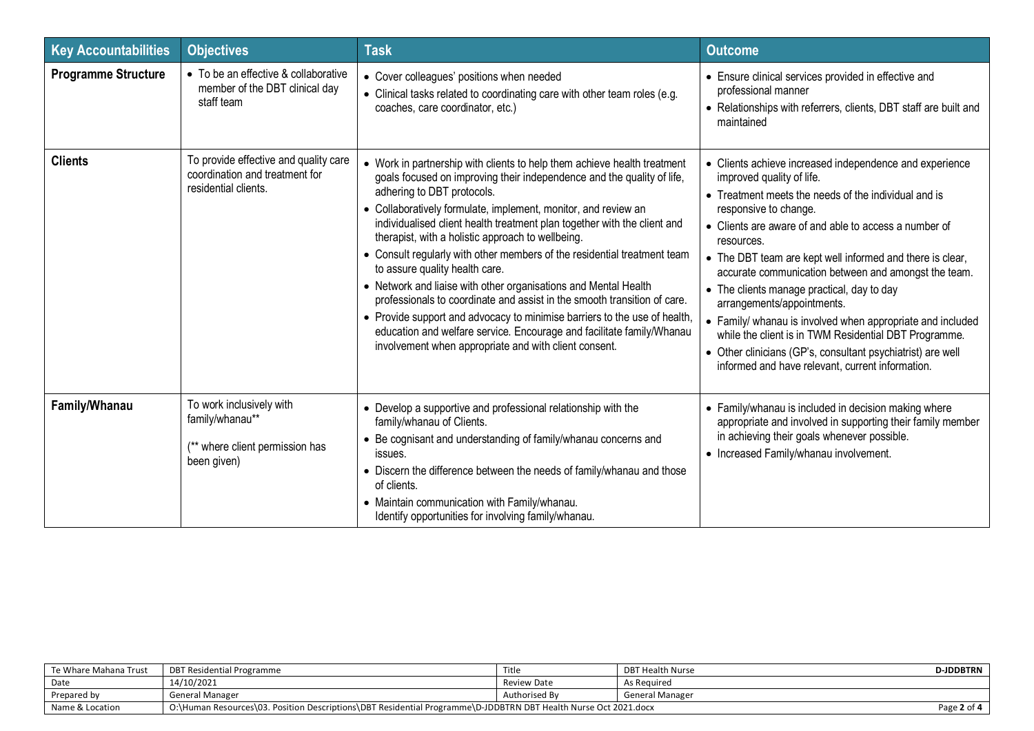| <b>Key Accountabilities</b> | <b>Objectives</b>                                                                               | <b>Task</b>                                                                                                                                                                                                                                                                                                                                                                                                                                                                                                                                                                                                                                                                                                                                                                                                                                                     | <b>Outcome</b>                                                                                                                                                                                                                                                                                                                                                                                                                                                                                                                                                                                                                                                                          |
|-----------------------------|-------------------------------------------------------------------------------------------------|-----------------------------------------------------------------------------------------------------------------------------------------------------------------------------------------------------------------------------------------------------------------------------------------------------------------------------------------------------------------------------------------------------------------------------------------------------------------------------------------------------------------------------------------------------------------------------------------------------------------------------------------------------------------------------------------------------------------------------------------------------------------------------------------------------------------------------------------------------------------|-----------------------------------------------------------------------------------------------------------------------------------------------------------------------------------------------------------------------------------------------------------------------------------------------------------------------------------------------------------------------------------------------------------------------------------------------------------------------------------------------------------------------------------------------------------------------------------------------------------------------------------------------------------------------------------------|
| <b>Programme Structure</b>  | • To be an effective & collaborative<br>member of the DBT clinical day<br>staff team            | • Cover colleagues' positions when needed<br>• Clinical tasks related to coordinating care with other team roles (e.g.<br>coaches, care coordinator, etc.)                                                                                                                                                                                                                                                                                                                                                                                                                                                                                                                                                                                                                                                                                                      | • Ensure clinical services provided in effective and<br>professional manner<br>• Relationships with referrers, clients, DBT staff are built and<br>maintained                                                                                                                                                                                                                                                                                                                                                                                                                                                                                                                           |
| <b>Clients</b>              | To provide effective and quality care<br>coordination and treatment for<br>residential clients. | • Work in partnership with clients to help them achieve health treatment<br>goals focused on improving their independence and the quality of life,<br>adhering to DBT protocols.<br>• Collaboratively formulate, implement, monitor, and review an<br>individualised client health treatment plan together with the client and<br>therapist, with a holistic approach to wellbeing.<br>• Consult regularly with other members of the residential treatment team<br>to assure quality health care.<br>• Network and liaise with other organisations and Mental Health<br>professionals to coordinate and assist in the smooth transition of care.<br>• Provide support and advocacy to minimise barriers to the use of health,<br>education and welfare service. Encourage and facilitate family/Whanau<br>involvement when appropriate and with client consent. | • Clients achieve increased independence and experience<br>improved quality of life.<br>• Treatment meets the needs of the individual and is<br>responsive to change.<br>• Clients are aware of and able to access a number of<br>resources.<br>• The DBT team are kept well informed and there is clear,<br>accurate communication between and amongst the team.<br>• The clients manage practical, day to day<br>arrangements/appointments.<br>• Family/ whanau is involved when appropriate and included<br>while the client is in TWM Residential DBT Programme.<br>• Other clinicians (GP's, consultant psychiatrist) are well<br>informed and have relevant, current information. |
| Family/Whanau               | To work inclusively with<br>family/whanau**<br>(** where client permission has<br>been given)   | • Develop a supportive and professional relationship with the<br>family/whanau of Clients.<br>• Be cognisant and understanding of family/whanau concerns and<br>issues.<br>• Discern the difference between the needs of family/whanau and those<br>of clients.<br>• Maintain communication with Family/whanau.<br>Identify opportunities for involving family/whanau.                                                                                                                                                                                                                                                                                                                                                                                                                                                                                          | • Family/whanau is included in decision making where<br>appropriate and involved in supporting their family member<br>in achieving their goals whenever possible.<br>• Increased Family/whanau involvement.                                                                                                                                                                                                                                                                                                                                                                                                                                                                             |

| Te Whare Mahana Trust | DBT Residential Programme                                                                                       | Title         | DBT Health Nurse | D-IDDBTRN   |
|-----------------------|-----------------------------------------------------------------------------------------------------------------|---------------|------------------|-------------|
| Date                  | 14/10/2021                                                                                                      | Review Date   | As Reauired      |             |
| Prepared by           | <b>General Manager</b>                                                                                          | Authorised By | General Manager  |             |
| Name & Location       | O:\Human Resources\03. Position Descriptions\DBT Residential Programme\D-JDDBTRN DBT Health Nurse Oct 2021.docx |               |                  | Page 2 of 4 |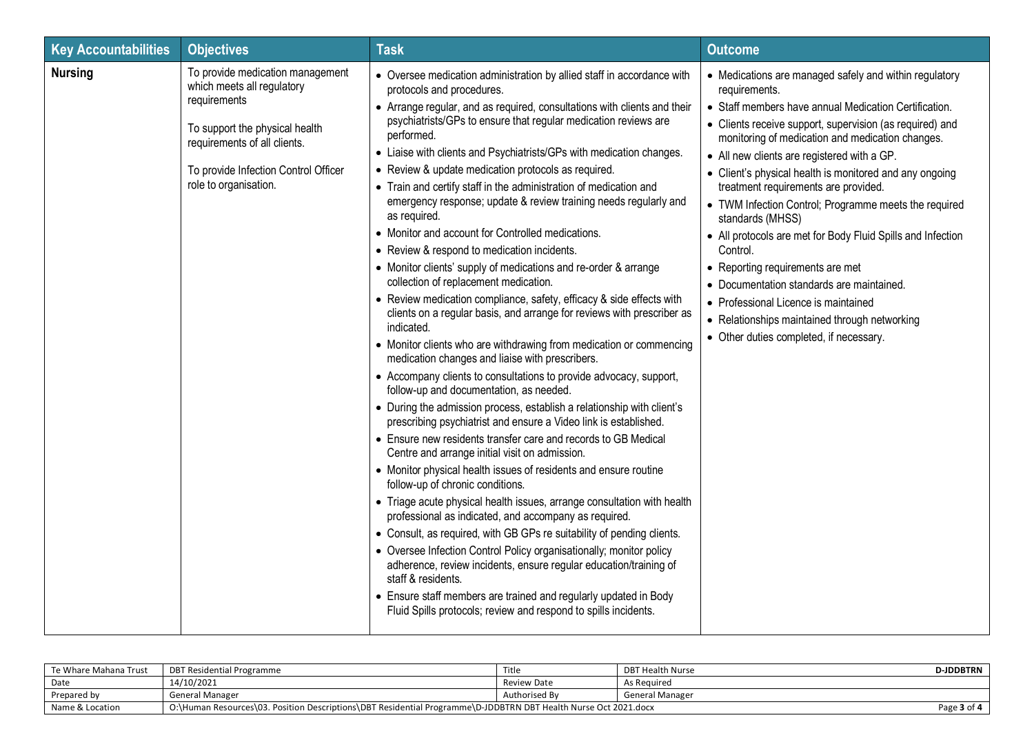| <b>Key Accountabilities</b> | <b>Objectives</b>                                                                                                                                                                                                 | <b>Task</b>                                                                                                                                                                                                                                                                                                                                                                                                                                                                                                                                                                                                                                                                                                                                                                                                                                                                                                                                                                                                                                                                                                                                                                                                                                                                                                                                                                                                                                                                                                                                                                                                                                                                                                                                                                                                                                                                                                                                                                                                                                                                          | <b>Outcome</b>                                                                                                                                                                                                                                                                                                                                                                                                                                                                                                                                                                                                                                                                                                                                                                  |
|-----------------------------|-------------------------------------------------------------------------------------------------------------------------------------------------------------------------------------------------------------------|--------------------------------------------------------------------------------------------------------------------------------------------------------------------------------------------------------------------------------------------------------------------------------------------------------------------------------------------------------------------------------------------------------------------------------------------------------------------------------------------------------------------------------------------------------------------------------------------------------------------------------------------------------------------------------------------------------------------------------------------------------------------------------------------------------------------------------------------------------------------------------------------------------------------------------------------------------------------------------------------------------------------------------------------------------------------------------------------------------------------------------------------------------------------------------------------------------------------------------------------------------------------------------------------------------------------------------------------------------------------------------------------------------------------------------------------------------------------------------------------------------------------------------------------------------------------------------------------------------------------------------------------------------------------------------------------------------------------------------------------------------------------------------------------------------------------------------------------------------------------------------------------------------------------------------------------------------------------------------------------------------------------------------------------------------------------------------------|---------------------------------------------------------------------------------------------------------------------------------------------------------------------------------------------------------------------------------------------------------------------------------------------------------------------------------------------------------------------------------------------------------------------------------------------------------------------------------------------------------------------------------------------------------------------------------------------------------------------------------------------------------------------------------------------------------------------------------------------------------------------------------|
| <b>Nursing</b>              | To provide medication management<br>which meets all regulatory<br>requirements<br>To support the physical health<br>requirements of all clients.<br>To provide Infection Control Officer<br>role to organisation. | • Oversee medication administration by allied staff in accordance with<br>protocols and procedures.<br>• Arrange regular, and as required, consultations with clients and their<br>psychiatrists/GPs to ensure that regular medication reviews are<br>performed.<br>• Liaise with clients and Psychiatrists/GPs with medication changes.<br>• Review & update medication protocols as required.<br>• Train and certify staff in the administration of medication and<br>emergency response; update & review training needs regularly and<br>as required.<br>• Monitor and account for Controlled medications.<br>• Review & respond to medication incidents.<br>• Monitor clients' supply of medications and re-order & arrange<br>collection of replacement medication.<br>• Review medication compliance, safety, efficacy & side effects with<br>clients on a regular basis, and arrange for reviews with prescriber as<br>indicated.<br>• Monitor clients who are withdrawing from medication or commencing<br>medication changes and liaise with prescribers.<br>• Accompany clients to consultations to provide advocacy, support,<br>follow-up and documentation, as needed.<br>• During the admission process, establish a relationship with client's<br>prescribing psychiatrist and ensure a Video link is established.<br>• Ensure new residents transfer care and records to GB Medical<br>Centre and arrange initial visit on admission.<br>• Monitor physical health issues of residents and ensure routine<br>follow-up of chronic conditions.<br>• Triage acute physical health issues, arrange consultation with health<br>professional as indicated, and accompany as required.<br>• Consult, as required, with GB GPs re suitability of pending clients.<br>• Oversee Infection Control Policy organisationally; monitor policy<br>adherence, review incidents, ensure regular education/training of<br>staff & residents.<br>• Ensure staff members are trained and regularly updated in Body<br>Fluid Spills protocols; review and respond to spills incidents. | • Medications are managed safely and within regulatory<br>requirements.<br>• Staff members have annual Medication Certification.<br>• Clients receive support, supervision (as required) and<br>monitoring of medication and medication changes.<br>• All new clients are registered with a GP.<br>• Client's physical health is monitored and any ongoing<br>treatment requirements are provided.<br>• TWM Infection Control; Programme meets the required<br>standards (MHSS)<br>• All protocols are met for Body Fluid Spills and Infection<br>Control.<br>• Reporting requirements are met<br>• Documentation standards are maintained.<br>• Professional Licence is maintained<br>• Relationships maintained through networking<br>• Other duties completed, if necessary. |

| Te Whare Mahana Trust | DBT Residential Programme                                                                                       | Title         | <b>DBT Health Nurse</b> | <b>D-JDDBTRN</b> |
|-----------------------|-----------------------------------------------------------------------------------------------------------------|---------------|-------------------------|------------------|
| Date                  | 14/10/2021                                                                                                      | Review Date   | As Reguired             |                  |
| Prepared by           | General Manager                                                                                                 | Authorised Bv | <b>General Manager</b>  |                  |
| Name & Location       | O:\Human Resources\03. Position Descriptions\DBT Residential Programme\D-JDDBTRN DBT Health Nurse Oct 2021.docx |               |                         | Page 3 of 4      |